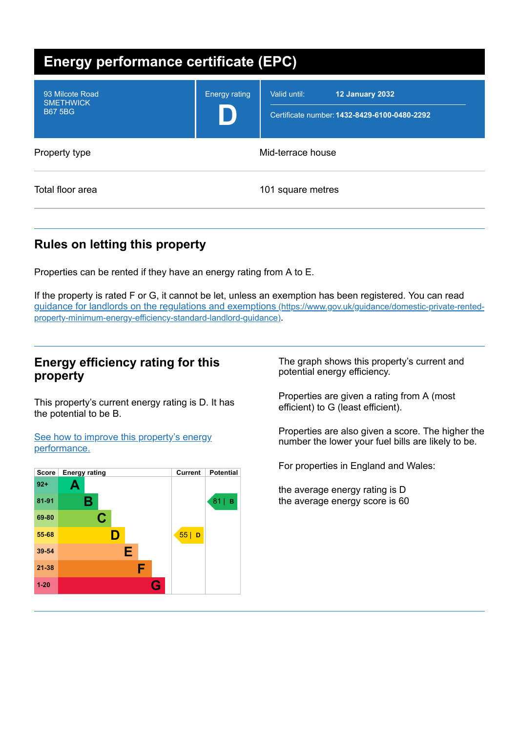| <b>Energy performance certificate (EPC)</b>           |                      |                                                                                 |  |
|-------------------------------------------------------|----------------------|---------------------------------------------------------------------------------|--|
| 93 Milcote Road<br><b>SMETHWICK</b><br><b>B67 5BG</b> | <b>Energy rating</b> | Valid until:<br>12 January 2032<br>Certificate number: 1432-8429-6100-0480-2292 |  |
| Property type                                         | Mid-terrace house    |                                                                                 |  |
| Total floor area                                      | 101 square metres    |                                                                                 |  |

# **Rules on letting this property**

Properties can be rented if they have an energy rating from A to E.

If the property is rated F or G, it cannot be let, unless an exemption has been registered. You can read guidance for landlords on the regulations and exemptions (https://www.gov.uk/guidance/domestic-private-rented[property-minimum-energy-efficiency-standard-landlord-guidance\)](https://www.gov.uk/guidance/domestic-private-rented-property-minimum-energy-efficiency-standard-landlord-guidance).

## **Energy efficiency rating for this property**

This property's current energy rating is D. It has the potential to be B.

See how to improve this property's energy [performance.](#page-2-0)



The graph shows this property's current and potential energy efficiency.

Properties are given a rating from A (most efficient) to G (least efficient).

Properties are also given a score. The higher the number the lower your fuel bills are likely to be.

For properties in England and Wales:

the average energy rating is D the average energy score is 60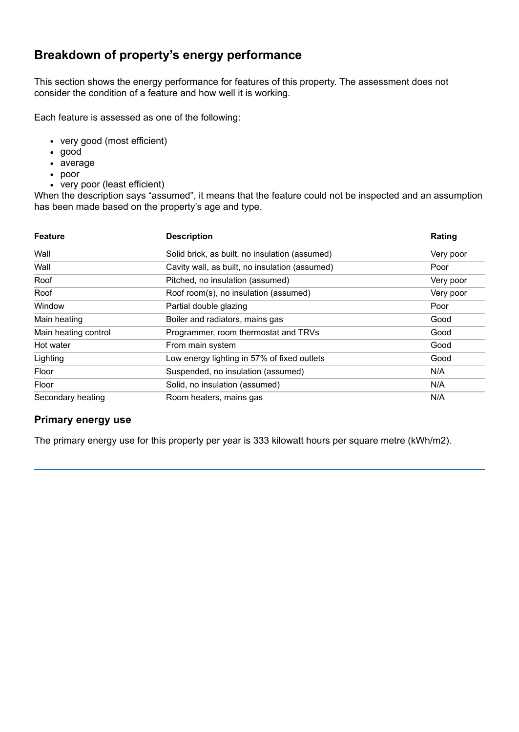# **Breakdown of property's energy performance**

This section shows the energy performance for features of this property. The assessment does not consider the condition of a feature and how well it is working.

Each feature is assessed as one of the following:

- very good (most efficient)
- good
- average
- poor
- very poor (least efficient)

When the description says "assumed", it means that the feature could not be inspected and an assumption has been made based on the property's age and type.

| <b>Feature</b>       | <b>Description</b>                             | Rating    |
|----------------------|------------------------------------------------|-----------|
| Wall                 | Solid brick, as built, no insulation (assumed) | Very poor |
| Wall                 | Cavity wall, as built, no insulation (assumed) | Poor      |
| Roof                 | Pitched, no insulation (assumed)               | Very poor |
| Roof                 | Roof room(s), no insulation (assumed)          | Very poor |
| Window               | Partial double glazing                         | Poor      |
| Main heating         | Boiler and radiators, mains gas                | Good      |
| Main heating control | Programmer, room thermostat and TRVs           | Good      |
| Hot water            | From main system                               | Good      |
| Lighting             | Low energy lighting in 57% of fixed outlets    | Good      |
| Floor                | Suspended, no insulation (assumed)             | N/A       |
| Floor                | Solid, no insulation (assumed)                 | N/A       |
| Secondary heating    | Room heaters, mains gas                        | N/A       |

## **Primary energy use**

The primary energy use for this property per year is 333 kilowatt hours per square metre (kWh/m2).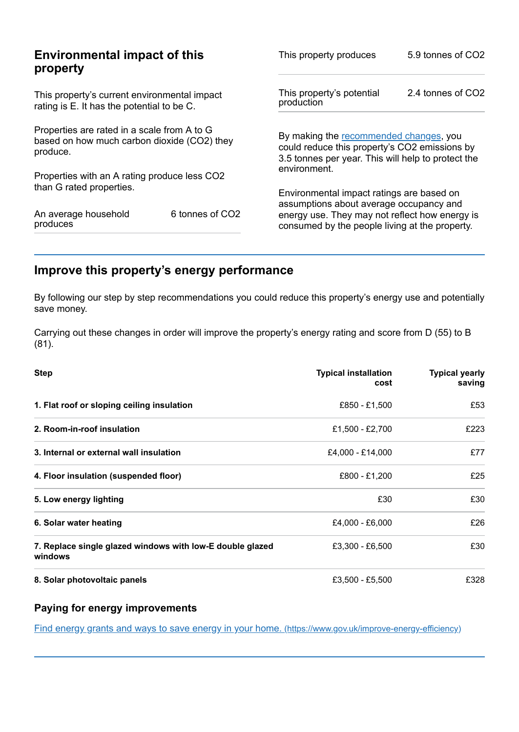| This property produces                                         | 5.9 tonnes of CO2                                                                                                                                                                        |  |
|----------------------------------------------------------------|------------------------------------------------------------------------------------------------------------------------------------------------------------------------------------------|--|
| This property's potential<br>production                        | 2.4 tonnes of CO2                                                                                                                                                                        |  |
|                                                                | By making the recommended changes, you<br>could reduce this property's CO2 emissions by<br>3.5 tonnes per year. This will help to protect the                                            |  |
| environment.                                                   |                                                                                                                                                                                          |  |
|                                                                | Environmental impact ratings are based on<br>assumptions about average occupancy and<br>energy use. They may not reflect how energy is<br>consumed by the people living at the property. |  |
| based on how much carbon dioxide (CO2) they<br>6 tonnes of CO2 |                                                                                                                                                                                          |  |

# <span id="page-2-0"></span>**Improve this property's energy performance**

By following our step by step recommendations you could reduce this property's energy use and potentially save money.

Carrying out these changes in order will improve the property's energy rating and score from D (55) to B (81).

| <b>Step</b>                                                          | <b>Typical installation</b><br>cost | <b>Typical yearly</b><br>saving |
|----------------------------------------------------------------------|-------------------------------------|---------------------------------|
| 1. Flat roof or sloping ceiling insulation                           | £850 - £1,500                       | £53                             |
| 2. Room-in-roof insulation                                           | £1,500 - £2,700                     | £223                            |
| 3. Internal or external wall insulation                              | £4,000 - £14,000                    | £77                             |
| 4. Floor insulation (suspended floor)                                | £800 - £1,200                       | £25                             |
| 5. Low energy lighting                                               | £30                                 | £30                             |
| 6. Solar water heating                                               | £4,000 - £6,000                     | £26                             |
| 7. Replace single glazed windows with low-E double glazed<br>windows | £3,300 - £6,500                     | £30                             |
| 8. Solar photovoltaic panels                                         | £3,500 - £5,500                     | £328                            |

## **Paying for energy improvements**

Find energy grants and ways to save energy in your home. [\(https://www.gov.uk/improve-energy-efficiency\)](https://www.gov.uk/improve-energy-efficiency)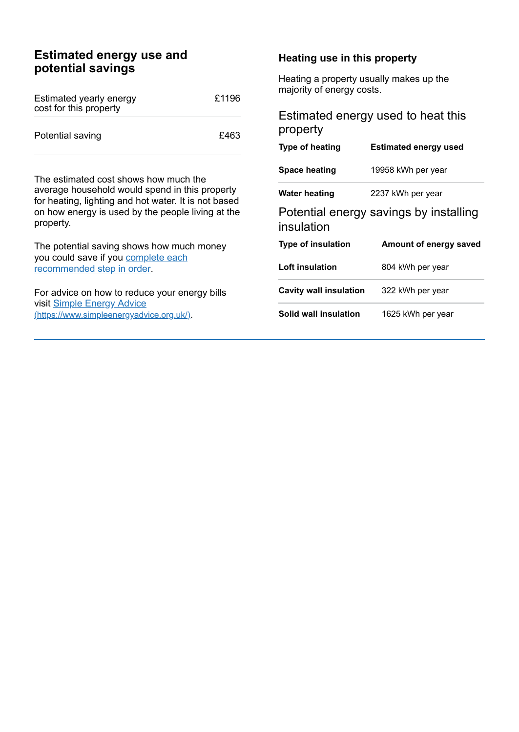# **Estimated energy use and potential savings**

| Estimated yearly energy<br>cost for this property | £1196 |
|---------------------------------------------------|-------|
| Potential saving                                  | £463  |

The estimated cost shows how much the average household would spend in this property for heating, lighting and hot water. It is not based on how energy is used by the people living at the property.

The potential saving shows how much money you could save if you complete each [recommended](#page-2-0) step in order.

For advice on how to reduce your energy bills visit Simple Energy Advice [\(https://www.simpleenergyadvice.org.uk/\)](https://www.simpleenergyadvice.org.uk/).

#### **Heating use in this property**

Heating a property usually makes up the majority of energy costs.

## Estimated energy used to heat this property

| Type of heating                                      | <b>Estimated energy used</b> |  |
|------------------------------------------------------|------------------------------|--|
| <b>Space heating</b>                                 | 19958 kWh per year           |  |
| Water heating                                        | 2237 kWh per year            |  |
| Potential energy savings by installing<br>insulation |                              |  |
|                                                      |                              |  |
| <b>Type of insulation</b>                            | Amount of energy saved       |  |
| Loft insulation                                      | 804 kWh per year             |  |
| Cavity wall insulation                               | 322 kWh per year             |  |